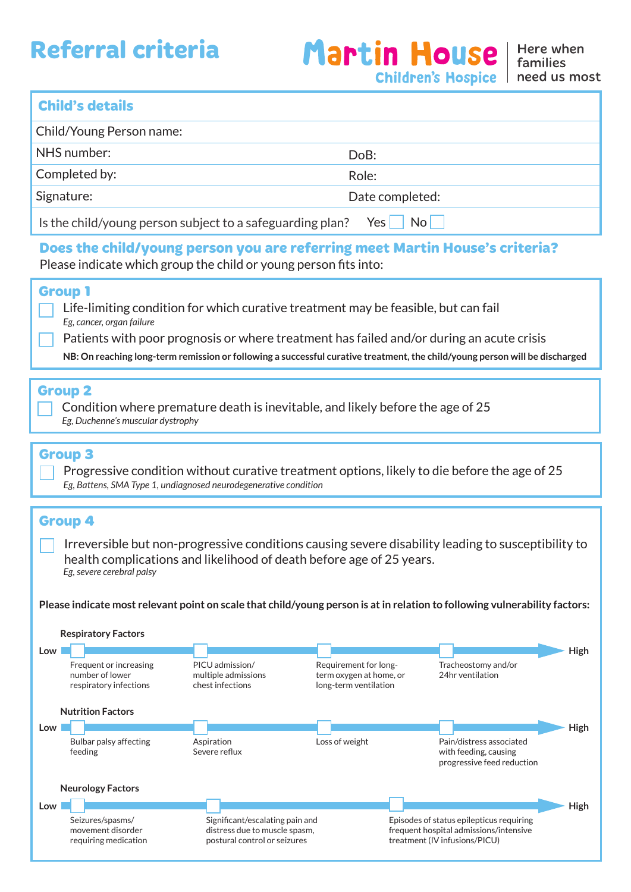# **Referral criteria**

# **Child's details**

| Child/Young Person name:                                                    |                 |
|-----------------------------------------------------------------------------|-----------------|
| NHS number:                                                                 | DoB:            |
| Completed by:                                                               | Role:           |
| Signature:                                                                  | Date completed: |
| Nol<br>Is the child/young person subject to a safeguarding plan? Yes $\Box$ |                 |

# **Does the child/young person you are referring meet Martin House's criteria?** Please indicate which group the child or young person fits into:

## **Group 1**

- Life-limiting condition for which curative treatment may be feasible, but can fail *Eg, cancer, organ failure*
- Patients with poor prognosis or where treatment has failed and/or during an acute crisis
- **NB: On reaching long-term remission or following a successful curative treatment, the child/young person will be discharged**

#### **Group 2**

Condition where premature death is inevitable, and likely before the age of 25 *Eg, Duchenne's muscular dystrophy*

#### **Group 3**

Progressive condition without curative treatment options, likely to die before the age of 25 *Eg, Battens, SMA Type 1, undiagnosed neurodegenerative condition*

### **Group 4**

Irreversible but non-progressive conditions causing severe disability leading to susceptibility to health complications and likelihood of death before age of 25 years. *Eg, severe cerebral palsy*

**Please indicate most relevant point on scale that child/young person is at in relation to following vulnerability factors:**